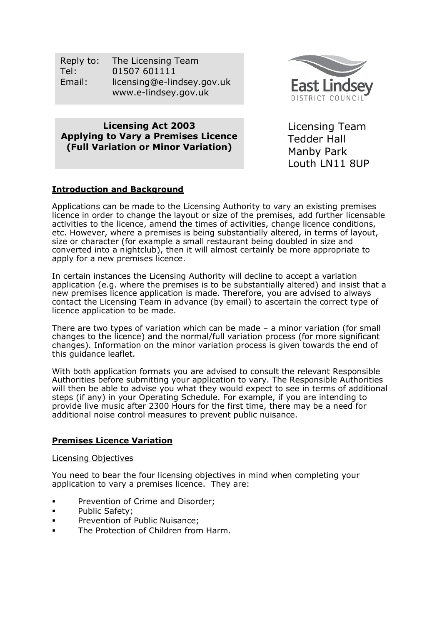| Reply to: | The Licensing Team         |
|-----------|----------------------------|
| Tel:      | 01507 601111               |
| Email:    | licensing@e-lindsey.gov.uk |
|           | www.e-lindsey.gov.uk       |



Licensing Act 2003 Applying to Vary a Premises Licence (Full Variation or Minor Variation)

Licensing Team Tedder Hall Manby Park Louth LN11 8UP

## Introduction and Background

Applications can be made to the Licensing Authority to vary an existing premises licence in order to change the layout or size of the premises, add further licensable activities to the licence, amend the times of activities, change licence conditions, etc. However, where a premises is being substantially altered, in terms of layout, size or character (for example a small restaurant being doubled in size and converted into a nightclub), then it will almost certainly be more appropriate to apply for a new premises licence.

In certain instances the Licensing Authority will decline to accept a variation application (e.g. where the premises is to be substantially altered) and insist that a new premises licence application is made. Therefore, you are advised to always contact the Licensing Team in advance (by email) to ascertain the correct type of licence application to be made.

There are two types of variation which can be made – a minor variation (for small changes to the licence) and the normal/full variation process (for more significant changes). Information on the minor variation process is given towards the end of this guidance leaflet.

With both application formats you are advised to consult the relevant Responsible Authorities before submitting your application to vary. The Responsible Authorities will then be able to advise you what they would expect to see in terms of additional steps (if any) in your Operating Schedule. For example, if you are intending to provide live music after 2300 Hours for the first time, there may be a need for additional noise control measures to prevent public nuisance.

## Premises Licence Variation

## Licensing Objectives

You need to bear the four licensing objectives in mind when completing your application to vary a premises licence. They are:

- **Prevention of Crime and Disorder;**
- **Public Safety;**
- Prevention of Public Nuisance;
- The Protection of Children from Harm.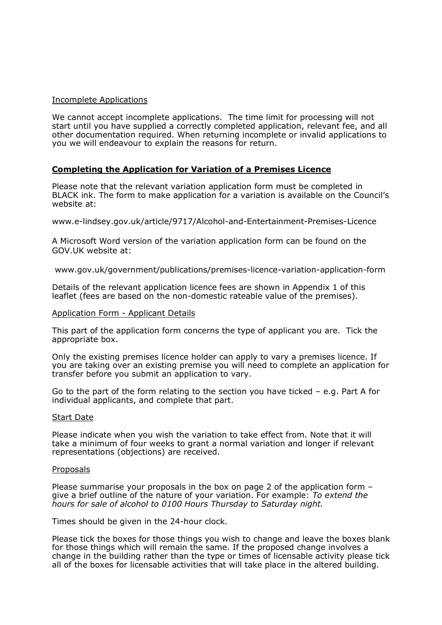## Incomplete Applications

We cannot accept incomplete applications. The time limit for processing will not start until you have supplied a correctly completed application, relevant fee, and all other documentation required. When returning incomplete or invalid applications to you we will endeavour to explain the reasons for return.

## Completing the Application for Variation of a Premises Licence

Please note that the relevant variation application form must be completed in BLACK ink. The form to make application for a variation is available on the Council's website at:

www.e-lindsey.gov.uk/article/9717/Alcohol-and-Entertainment-Premises-Licence

A Microsoft Word version of the variation application form can be found on the GOV.UK website at:

www.gov.uk/government/publications/premises-licence-variation-application-form

Details of the relevant application licence fees are shown in Appendix 1 of this leaflet (fees are based on the non-domestic rateable value of the premises).

#### Application Form - Applicant Details

This part of the application form concerns the type of applicant you are. Tick the appropriate box.

Only the existing premises licence holder can apply to vary a premises licence. If you are taking over an existing premise you will need to complete an application for transfer before you submit an application to vary.

Go to the part of the form relating to the section you have ticked – e.g. Part A for individual applicants, and complete that part.

#### Start Date

Please indicate when you wish the variation to take effect from. Note that it will take a minimum of four weeks to grant a normal variation and longer if relevant representations (objections) are received.

#### Proposals

Please summarise your proposals in the box on page 2 of the application form – give a brief outline of the nature of your variation. For example: To extend the hours for sale of alcohol to 0100 Hours Thursday to Saturday night.

Times should be given in the 24-hour clock.

Please tick the boxes for those things you wish to change and leave the boxes blank for those things which will remain the same. If the proposed change involves a change in the building rather than the type or times of licensable activity please tick all of the boxes for licensable activities that will take place in the altered building.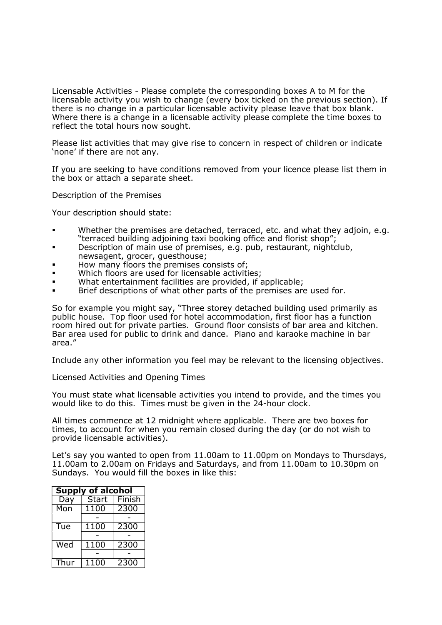Licensable Activities - Please complete the corresponding boxes A to M for the licensable activity you wish to change (every box ticked on the previous section). If there is no change in a particular licensable activity please leave that box blank. Where there is a change in a licensable activity please complete the time boxes to reflect the total hours now sought.

Please list activities that may give rise to concern in respect of children or indicate 'none' if there are not any.

If you are seeking to have conditions removed from your licence please list them in the box or attach a separate sheet.

#### Description of the Premises

Your description should state:

- Whether the premises are detached, terraced, etc. and what they adjoin, e.g. "terraced building adjoining taxi booking office and florist shop";
- **Description of main use of premises, e.g. pub, restaurant, nightclub,** newsagent, grocer, guesthouse;
- How many floors the premises consists of;
- Which floors are used for licensable activities;
- What entertainment facilities are provided, if applicable;
- Brief descriptions of what other parts of the premises are used for.

So for example you might say, "Three storey detached building used primarily as public house. Top floor used for hotel accommodation, first floor has a function room hired out for private parties. Ground floor consists of bar area and kitchen. Bar area used for public to drink and dance. Piano and karaoke machine in bar area."

Include any other information you feel may be relevant to the licensing objectives.

#### Licensed Activities and Opening Times

You must state what licensable activities you intend to provide, and the times you would like to do this. Times must be given in the 24-hour clock.

All times commence at 12 midnight where applicable. There are two boxes for times, to account for when you remain closed during the day (or do not wish to provide licensable activities).

Let's say you wanted to open from 11.00am to 11.00pm on Mondays to Thursdays, 11.00am to 2.00am on Fridays and Saturdays, and from 11.00am to 10.30pm on Sundays. You would fill the boxes in like this:

| <b>Supply of alcohol</b> |              |        |
|--------------------------|--------------|--------|
| Day                      | <b>Start</b> | Finish |
| Mon                      | 1100         | 2300   |
|                          |              |        |
| Tue                      | 1100         | 2300   |
|                          |              |        |
| Wed                      | 1100         | 2300   |
|                          |              |        |
| Thur                     | 1100         | 2300   |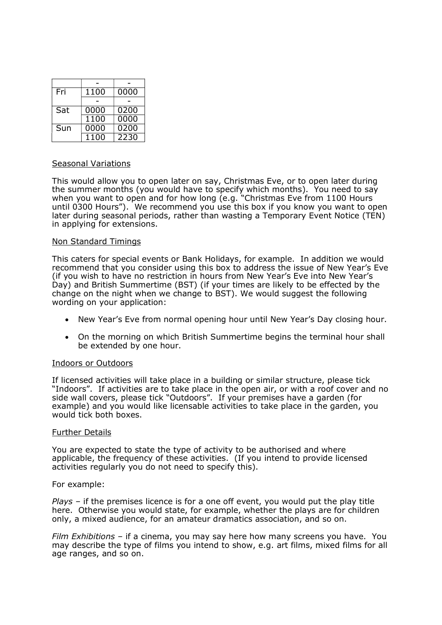| Fri | 1100              | 0000 |
|-----|-------------------|------|
|     |                   |      |
| Sat | 0000              | 0200 |
|     | $11\overline{00}$ | 0000 |
| Sun | 0000              | 0200 |
|     | $110\overline{0}$ | 2230 |

## Seasonal Variations

This would allow you to open later on say, Christmas Eve, or to open later during the summer months (you would have to specify which months). You need to say when you want to open and for how long (e.g. "Christmas Eve from 1100 Hours until 0300 Hours"). We recommend you use this box if you know you want to open later during seasonal periods, rather than wasting a Temporary Event Notice (TEN) in applying for extensions.

#### Non Standard Timings

This caters for special events or Bank Holidays, for example. In addition we would recommend that you consider using this box to address the issue of New Year's Eve (if you wish to have no restriction in hours from New Year's Eve into New Year's Day) and British Summertime (BST) (if your times are likely to be effected by the change on the night when we change to BST). We would suggest the following wording on your application:

- New Year's Eve from normal opening hour until New Year's Day closing hour.
- On the morning on which British Summertime begins the terminal hour shall be extended by one hour.

## Indoors or Outdoors

If licensed activities will take place in a building or similar structure, please tick "Indoors". If activities are to take place in the open air, or with a roof cover and no side wall covers, please tick "Outdoors". If your premises have a garden (for example) and you would like licensable activities to take place in the garden, you would tick both boxes.

## Further Details

You are expected to state the type of activity to be authorised and where applicable, the frequency of these activities. (If you intend to provide licensed activities regularly you do not need to specify this).

## For example:

 $Plays - if the premises licence is for a one off event, you would put the play title$ here. Otherwise you would state, for example, whether the plays are for children only, a mixed audience, for an amateur dramatics association, and so on.

Film Exhibitions – if a cinema, you may say here how many screens you have. You may describe the type of films you intend to show, e.g. art films, mixed films for all age ranges, and so on.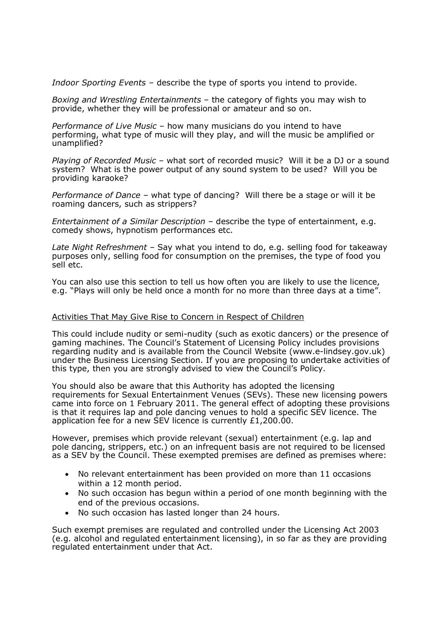Indoor Sporting Events – describe the type of sports you intend to provide.

Boxing and Wrestling Entertainments – the category of fights you may wish to provide, whether they will be professional or amateur and so on.

Performance of Live Music – how many musicians do you intend to have performing, what type of music will they play, and will the music be amplified or unamplified?

Playing of Recorded Music – what sort of recorded music? Will it be a DJ or a sound system? What is the power output of any sound system to be used? Will you be providing karaoke?

Performance of Dance – what type of dancing? Will there be a stage or will it be roaming dancers, such as strippers?

Entertainment of a Similar Description – describe the type of entertainment, e.g. comedy shows, hypnotism performances etc.

Late Night Refreshment – Say what you intend to do, e.g. selling food for takeaway purposes only, selling food for consumption on the premises, the type of food you sell etc.

You can also use this section to tell us how often you are likely to use the licence, e.g. "Plays will only be held once a month for no more than three days at a time".

## Activities That May Give Rise to Concern in Respect of Children

This could include nudity or semi-nudity (such as exotic dancers) or the presence of gaming machines. The Council's Statement of Licensing Policy includes provisions regarding nudity and is available from the Council Website (www.e-lindsey.gov.uk) under the Business Licensing Section. If you are proposing to undertake activities of this type, then you are strongly advised to view the Council's Policy.

You should also be aware that this Authority has adopted the licensing requirements for Sexual Entertainment Venues (SEVs). These new licensing powers came into force on 1 February 2011. The general effect of adopting these provisions is that it requires lap and pole dancing venues to hold a specific SEV licence. The application fee for a new SEV licence is currently £1,200.00.

However, premises which provide relevant (sexual) entertainment (e.g. lap and pole dancing, strippers, etc.) on an infrequent basis are not required to be licensed as a SEV by the Council. These exempted premises are defined as premises where:

- No relevant entertainment has been provided on more than 11 occasions within a 12 month period.
- No such occasion has begun within a period of one month beginning with the end of the previous occasions.
- No such occasion has lasted longer than 24 hours.

Such exempt premises are regulated and controlled under the Licensing Act 2003 (e.g. alcohol and regulated entertainment licensing), in so far as they are providing regulated entertainment under that Act.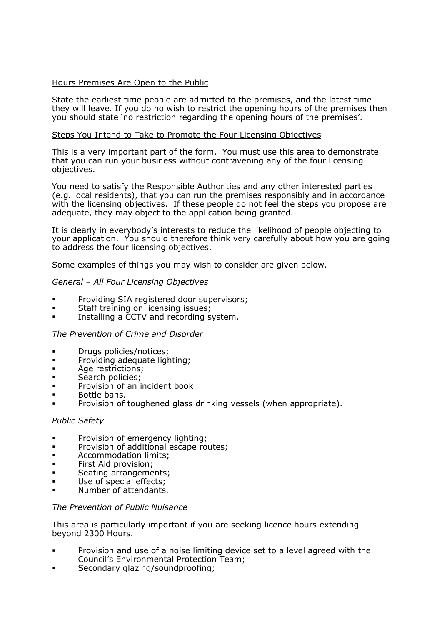## Hours Premises Are Open to the Public

State the earliest time people are admitted to the premises, and the latest time they will leave. If you do no wish to restrict the opening hours of the premises then you should state 'no restriction regarding the opening hours of the premises'.

## Steps You Intend to Take to Promote the Four Licensing Objectives

This is a very important part of the form. You must use this area to demonstrate that you can run your business without contravening any of the four licensing objectives.

You need to satisfy the Responsible Authorities and any other interested parties (e.g. local residents), that you can run the premises responsibly and in accordance with the licensing objectives. If these people do not feel the steps you propose are adequate, they may object to the application being granted.

It is clearly in everybody's interests to reduce the likelihood of people objecting to your application. You should therefore think very carefully about how you are going to address the four licensing objectives.

Some examples of things you may wish to consider are given below.

## General – All Four Licensing Objectives

- Providing SIA registered door supervisors;
- Staff training on licensing issues:
- Installing a CCTV and recording system.

## The Prevention of Crime and Disorder

- **Drugs policies/notices;**
- **•** Providing adequate lighting;
- Age restrictions;
- Search policies;
- Provision of an incident book
- Bottle bans.
- Provision of toughened glass drinking vessels (when appropriate).

## Public Safety

- Provision of emergency lighting;
- **Provision of additional escape routes;**
- **Accommodation limits;**
- **First Aid provision;**
- Seating arrangements;
- Use of special effects;
- Number of attendants.

## The Prevention of Public Nuisance

This area is particularly important if you are seeking licence hours extending beyond 2300 Hours.

- Provision and use of a noise limiting device set to a level agreed with the Council's Environmental Protection Team;
- Secondary glazing/soundproofing;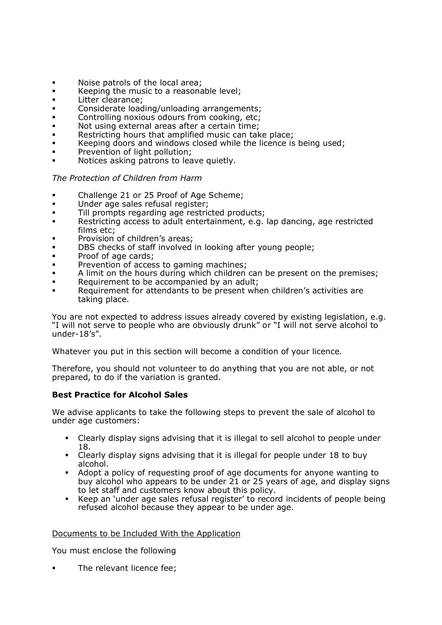- Noise patrols of the local area;
- Keeping the music to a reasonable level;
- **Litter clearance:**
- **Considerate loading/unloading arrangements;**<br>Controlling poxique odours from cooking etc:
- Controlling noxious odours from cooking, etc;
- Not using external areas after a certain time;
- **Restricting hours that amplified music can take place;**
- **Keeping doors and windows closed while the licence is being used;**
- **Prevention of light pollution:**
- Notices asking patrons to leave quietly.

## The Protection of Children from Harm

- Challenge 21 or 25 Proof of Age Scheme;
- Under age sales refusal register;
- **Till prompts regarding age restricted products;**
- Restricting access to adult entertainment, e.g. lap dancing, age restricted films etc;
- Provision of children's areas;
- **DBS** checks of staff involved in looking after young people;
- **Proof of age cards:**
- Prevention of access to gaming machines;
- A limit on the hours during which children can be present on the premises;
- Requirement to be accompanied by an adult;
- Requirement for attendants to be present when children's activities are taking place.

You are not expected to address issues already covered by existing legislation, e.g. "I will not serve to people who are obviously drunk" or "I will not serve alcohol to under-18's".

Whatever you put in this section will become a condition of your licence.

Therefore, you should not volunteer to do anything that you are not able, or not prepared, to do if the variation is granted.

## Best Practice for Alcohol Sales

We advise applicants to take the following steps to prevent the sale of alcohol to under age customers:

- Clearly display signs advising that it is illegal to sell alcohol to people under 18.
- Clearly display signs advising that it is illegal for people under 18 to buy alcohol.
- Adopt a policy of requesting proof of age documents for anyone wanting to buy alcohol who appears to be under 21 or 25 years of age, and display signs to let staff and customers know about this policy.
- Keep an 'under age sales refusal register' to record incidents of people being refused alcohol because they appear to be under age.

## Documents to be Included With the Application

You must enclose the following

The relevant licence fee;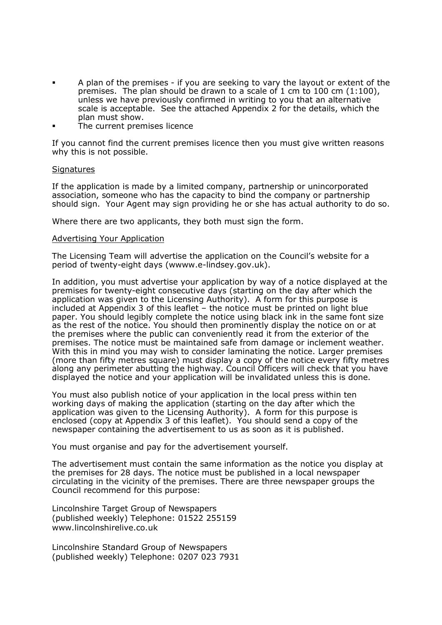- A plan of the premises if you are seeking to vary the layout or extent of the premises. The plan should be drawn to a scale of 1 cm to 100 cm (1:100), unless we have previously confirmed in writing to you that an alternative scale is acceptable. See the attached Appendix 2 for the details, which the plan must show.
- The current premises licence

If you cannot find the current premises licence then you must give written reasons why this is not possible.

#### **Signatures**

If the application is made by a limited company, partnership or unincorporated association, someone who has the capacity to bind the company or partnership should sign. Your Agent may sign providing he or she has actual authority to do so.

Where there are two applicants, they both must sign the form.

## Advertising Your Application

The Licensing Team will advertise the application on the Council's website for a period of twenty-eight days (wwww.e-lindsey.gov.uk).

In addition, you must advertise your application by way of a notice displayed at the premises for twenty-eight consecutive days (starting on the day after which the application was given to the Licensing Authority). A form for this purpose is included at Appendix 3 of this leaflet – the notice must be printed on light blue paper. You should legibly complete the notice using black ink in the same font size as the rest of the notice. You should then prominently display the notice on or at the premises where the public can conveniently read it from the exterior of the premises. The notice must be maintained safe from damage or inclement weather. With this in mind you may wish to consider laminating the notice. Larger premises (more than fifty metres square) must display a copy of the notice every fifty metres along any perimeter abutting the highway. Council Officers will check that you have displayed the notice and your application will be invalidated unless this is done.

You must also publish notice of your application in the local press within ten working days of making the application (starting on the day after which the application was given to the Licensing Authority). A form for this purpose is enclosed (copy at Appendix 3 of this leaflet). You should send a copy of the newspaper containing the advertisement to us as soon as it is published.

You must organise and pay for the advertisement yourself.

The advertisement must contain the same information as the notice you display at the premises for 28 days. The notice must be published in a local newspaper circulating in the vicinity of the premises. There are three newspaper groups the Council recommend for this purpose:

Lincolnshire Target Group of Newspapers (published weekly) Telephone: 01522 255159 www.lincolnshirelive.co.uk

Lincolnshire Standard Group of Newspapers (published weekly) Telephone: 0207 023 7931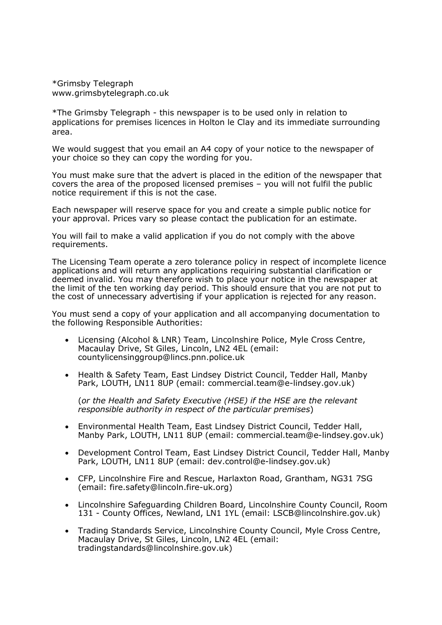\*Grimsby Telegraph www.grimsbytelegraph.co.uk

\*The Grimsby Telegraph - this newspaper is to be used only in relation to applications for premises licences in Holton le Clay and its immediate surrounding area.

We would suggest that you email an A4 copy of your notice to the newspaper of your choice so they can copy the wording for you.

You must make sure that the advert is placed in the edition of the newspaper that covers the area of the proposed licensed premises – you will not fulfil the public notice requirement if this is not the case.

Each newspaper will reserve space for you and create a simple public notice for your approval. Prices vary so please contact the publication for an estimate.

You will fail to make a valid application if you do not comply with the above requirements.

The Licensing Team operate a zero tolerance policy in respect of incomplete licence applications and will return any applications requiring substantial clarification or deemed invalid. You may therefore wish to place your notice in the newspaper at the limit of the ten working day period. This should ensure that you are not put to the cost of unnecessary advertising if your application is rejected for any reason.

You must send a copy of your application and all accompanying documentation to the following Responsible Authorities:

- Licensing (Alcohol & LNR) Team, Lincolnshire Police, Myle Cross Centre, Macaulay Drive, St Giles, Lincoln, LN2 4EL (email: countylicensinggroup@lincs.pnn.police.uk
- Health & Safety Team, East Lindsey District Council, Tedder Hall, Manby Park, LOUTH, LN11 8UP (email: commercial.team@e-lindsey.gov.uk)

(or the Health and Safety Executive (HSE) if the HSE are the relevant responsible authority in respect of the particular premises)

- Environmental Health Team, East Lindsey District Council, Tedder Hall, Manby Park, LOUTH, LN11 8UP (email: commercial.team@e-lindsey.gov.uk)
- Development Control Team, East Lindsey District Council, Tedder Hall, Manby Park, LOUTH, LN11 8UP (email: dev.control@e-lindsey.gov.uk)
- CFP, Lincolnshire Fire and Rescue, Harlaxton Road, Grantham, NG31 7SG (email: fire.safety@lincoln.fire-uk.org)
- Lincolnshire Safeguarding Children Board, Lincolnshire County Council, Room 131 - County Offices, Newland, LN1 1YL (email: LSCB@lincolnshire.gov.uk)
- Trading Standards Service, Lincolnshire County Council, Myle Cross Centre, Macaulay Drive, St Giles, Lincoln, LN2 4EL (email: tradingstandards@lincolnshire.gov.uk)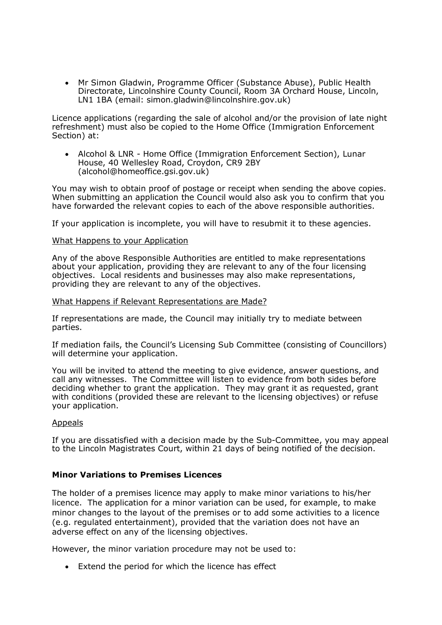Mr Simon Gladwin, Programme Officer (Substance Abuse), Public Health Directorate, Lincolnshire County Council, Room 3A Orchard House, Lincoln, LN1 1BA (email: simon.gladwin@lincolnshire.gov.uk)

Licence applications (regarding the sale of alcohol and/or the provision of late night refreshment) must also be copied to the Home Office (Immigration Enforcement Section) at:

 Alcohol & LNR - Home Office (Immigration Enforcement Section), Lunar House, 40 Wellesley Road, Croydon, CR9 2BY (alcohol@homeoffice.gsi.gov.uk)

You may wish to obtain proof of postage or receipt when sending the above copies. When submitting an application the Council would also ask you to confirm that you have forwarded the relevant copies to each of the above responsible authorities.

If your application is incomplete, you will have to resubmit it to these agencies.

## What Happens to your Application

Any of the above Responsible Authorities are entitled to make representations about your application, providing they are relevant to any of the four licensing objectives. Local residents and businesses may also make representations, providing they are relevant to any of the objectives.

## What Happens if Relevant Representations are Made?

If representations are made, the Council may initially try to mediate between parties.

If mediation fails, the Council's Licensing Sub Committee (consisting of Councillors) will determine your application.

You will be invited to attend the meeting to give evidence, answer questions, and call any witnesses. The Committee will listen to evidence from both sides before deciding whether to grant the application. They may grant it as requested, grant with conditions (provided these are relevant to the licensing objectives) or refuse your application.

## Appeals

If you are dissatisfied with a decision made by the Sub-Committee, you may appeal to the Lincoln Magistrates Court, within 21 days of being notified of the decision.

## Minor Variations to Premises Licences

The holder of a premises licence may apply to make minor variations to his/her licence. The application for a minor variation can be used, for example, to make minor changes to the layout of the premises or to add some activities to a licence (e.g. regulated entertainment), provided that the variation does not have an adverse effect on any of the licensing objectives.

However, the minor variation procedure may not be used to:

Extend the period for which the licence has effect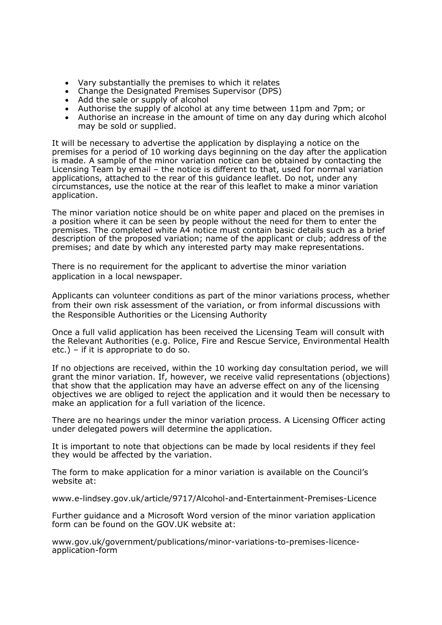- Vary substantially the premises to which it relates
- Change the Designated Premises Supervisor (DPS)
- Add the sale or supply of alcohol
- Aud the sale of supply of alcohol at any time between 11pm and 7pm; or
- Authorise an increase in the amount of time on any day during which alcohol may be sold or supplied.

It will be necessary to advertise the application by displaying a notice on the premises for a period of 10 working days beginning on the day after the application is made. A sample of the minor variation notice can be obtained by contacting the Licensing Team by email – the notice is different to that, used for normal variation applications, attached to the rear of this guidance leaflet. Do not, under any circumstances, use the notice at the rear of this leaflet to make a minor variation application.

The minor variation notice should be on white paper and placed on the premises in a position where it can be seen by people without the need for them to enter the premises. The completed white A4 notice must contain basic details such as a brief description of the proposed variation; name of the applicant or club; address of the premises; and date by which any interested party may make representations.

There is no requirement for the applicant to advertise the minor variation application in a local newspaper.

Applicants can volunteer conditions as part of the minor variations process, whether from their own risk assessment of the variation, or from informal discussions with the Responsible Authorities or the Licensing Authority

Once a full valid application has been received the Licensing Team will consult with the Relevant Authorities (e.g. Police, Fire and Rescue Service, Environmental Health etc.) – if it is appropriate to do so.

If no objections are received, within the 10 working day consultation period, we will grant the minor variation. If, however, we receive valid representations (objections) that show that the application may have an adverse effect on any of the licensing objectives we are obliged to reject the application and it would then be necessary to make an application for a full variation of the licence.

There are no hearings under the minor variation process. A Licensing Officer acting under delegated powers will determine the application.

It is important to note that objections can be made by local residents if they feel they would be affected by the variation.

The form to make application for a minor variation is available on the Council's website at:

www.e-lindsey.gov.uk/article/9717/Alcohol-and-Entertainment-Premises-Licence

Further guidance and a Microsoft Word version of the minor variation application form can be found on the GOV.UK website at:

www.gov.uk/government/publications/minor-variations-to-premises-licenceapplication-form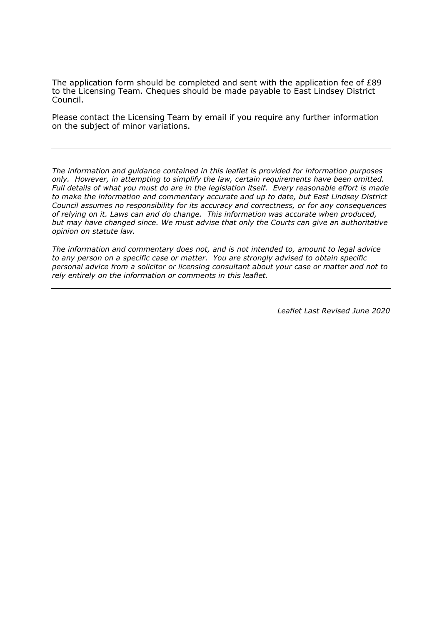The application form should be completed and sent with the application fee of £89 to the Licensing Team. Cheques should be made payable to East Lindsey District Council.

Please contact the Licensing Team by email if you require any further information on the subject of minor variations.

The information and guidance contained in this leaflet is provided for information purposes only. However, in attempting to simplify the law, certain requirements have been omitted. Full details of what you must do are in the legislation itself. Every reasonable effort is made to make the information and commentary accurate and up to date, but East Lindsey District Council assumes no responsibility for its accuracy and correctness, or for any consequences of relying on it. Laws can and do change. This information was accurate when produced, but may have changed since. We must advise that only the Courts can give an authoritative opinion on statute law.

The information and commentary does not, and is not intended to, amount to legal advice to any person on a specific case or matter. You are strongly advised to obtain specific personal advice from a solicitor or licensing consultant about your case or matter and not to rely entirely on the information or comments in this leaflet.

Leaflet Last Revised June 2020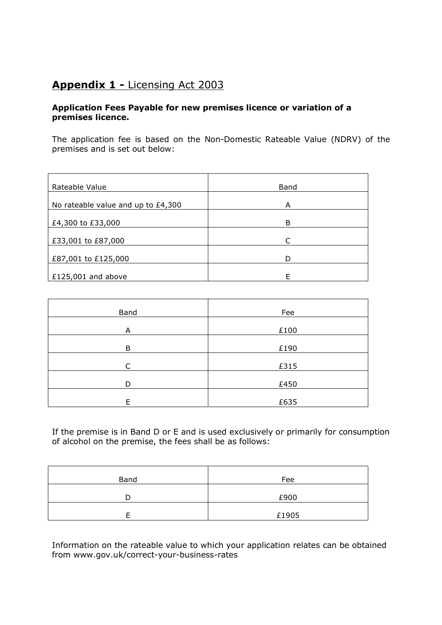## Appendix 1 - Licensing Act 2003

## Application Fees Payable for new premises licence or variation of a premises licence.

The application fee is based on the Non-Domestic Rateable Value (NDRV) of the premises and is set out below:

| Rateable Value                     | <b>Band</b> |
|------------------------------------|-------------|
| No rateable value and up to £4,300 | A           |
| £4,300 to £33,000                  | B           |
| £33,001 to £87,000                 | $\subset$   |
| £87,001 to £125,000                | D           |
| £125,001 and above                 | F           |

| <b>Band</b> | Fee  |
|-------------|------|
| A           | £100 |
| B           | £190 |
| C           | £315 |
| D           | £450 |
| E           | £635 |

If the premise is in Band D or E and is used exclusively or primarily for consumption of alcohol on the premise, the fees shall be as follows:

| Band | Fee   |
|------|-------|
|      | £900  |
|      | £1905 |

Information on the rateable value to which your application relates can be obtained from www.gov.uk/correct-your-business-rates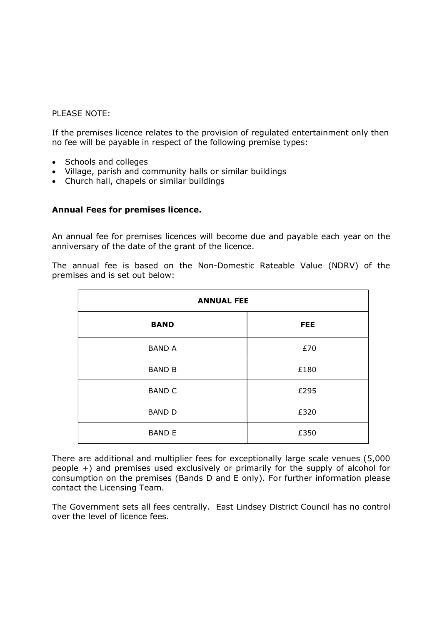## PLEASE NOTE:

If the premises licence relates to the provision of regulated entertainment only then no fee will be payable in respect of the following premise types:

- Schools and colleges
- Village, parish and community halls or similar buildings
- Church hall, chapels or similar buildings

## Annual Fees for premises licence.

An annual fee for premises licences will become due and payable each year on the anniversary of the date of the grant of the licence.

The annual fee is based on the Non-Domestic Rateable Value (NDRV) of the premises and is set out below:

| <b>ANNUAL FEE</b> |            |  |
|-------------------|------------|--|
| <b>BAND</b>       | <b>FEE</b> |  |
| <b>BAND A</b>     | £70        |  |
| <b>BAND B</b>     | £180       |  |
| <b>BAND C</b>     | £295       |  |
| <b>BAND D</b>     | £320       |  |
| <b>BAND E</b>     | £350       |  |

There are additional and multiplier fees for exceptionally large scale venues (5,000 people +) and premises used exclusively or primarily for the supply of alcohol for consumption on the premises (Bands D and E only). For further information please contact the Licensing Team.

The Government sets all fees centrally. East Lindsey District Council has no control over the level of licence fees.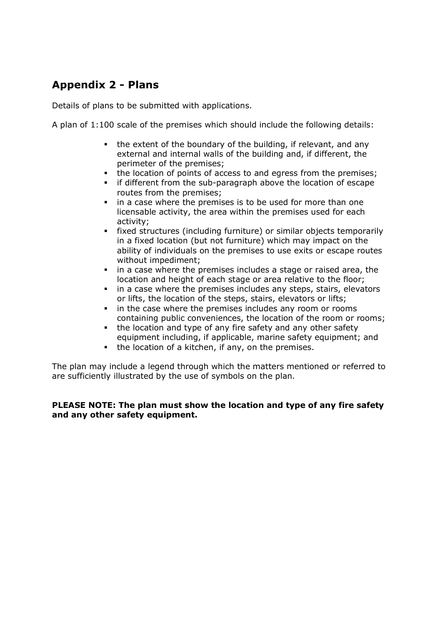## Appendix 2 - Plans

Details of plans to be submitted with applications.

A plan of 1:100 scale of the premises which should include the following details:

- the extent of the boundary of the building, if relevant, and any external and internal walls of the building and, if different, the perimeter of the premises;
- the location of points of access to and egress from the premises;
- if different from the sub-paragraph above the location of escape routes from the premises;
- **i** in a case where the premises is to be used for more than one licensable activity, the area within the premises used for each activity;
- fixed structures (including furniture) or similar objects temporarily in a fixed location (but not furniture) which may impact on the ability of individuals on the premises to use exits or escape routes without impediment;
- in a case where the premises includes a stage or raised area, the location and height of each stage or area relative to the floor;
- in a case where the premises includes any steps, stairs, elevators or lifts, the location of the steps, stairs, elevators or lifts;
- **i** in the case where the premises includes any room or rooms containing public conveniences, the location of the room or rooms;
- the location and type of any fire safety and any other safety equipment including, if applicable, marine safety equipment; and
- the location of a kitchen, if any, on the premises.

The plan may include a legend through which the matters mentioned or referred to are sufficiently illustrated by the use of symbols on the plan.

## PLEASE NOTE: The plan must show the location and type of any fire safety and any other safety equipment.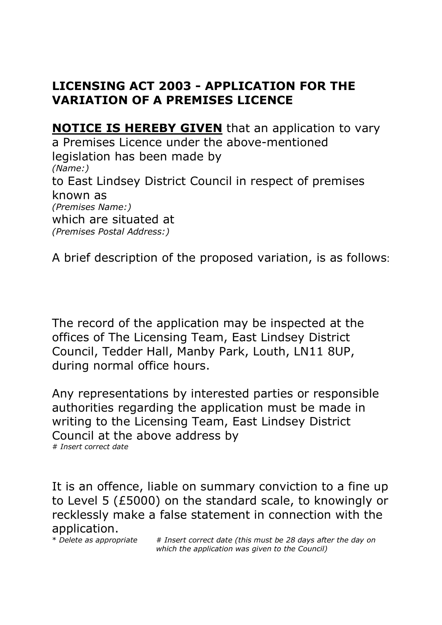# LICENSING ACT 2003 - APPLICATION FOR THE VARIATION OF A PREMISES LICENCE

**NOTICE IS HEREBY GIVEN** that an application to vary a Premises Licence under the above-mentioned legislation has been made by (Name:) to East Lindsey District Council in respect of premises known as (Premises Name:) which are situated at (Premises Postal Address:)

A brief description of the proposed variation, is as follows:

The record of the application may be inspected at the offices of The Licensing Team, East Lindsey District Council, Tedder Hall, Manby Park, Louth, LN11 8UP, during normal office hours.

Any representations by interested parties or responsible authorities regarding the application must be made in writing to the Licensing Team, East Lindsey District Council at the above address by # Insert correct date

It is an offence, liable on summary conviction to a fine up to Level 5 (£5000) on the standard scale, to knowingly or recklessly make a false statement in connection with the application.<br>\* Delete as appropriate

# Insert correct date (this must be 28 days after the day on which the application was given to the Council)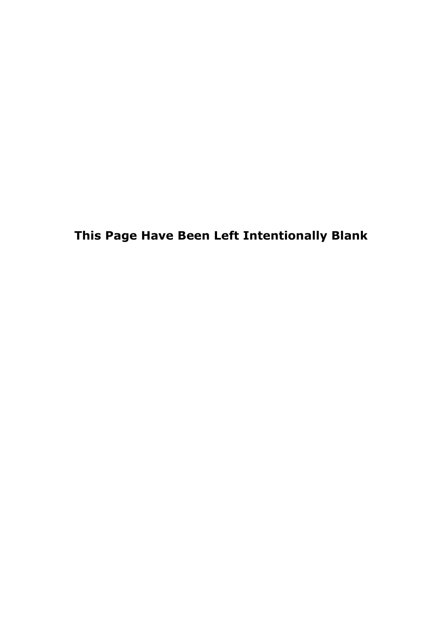This Page Have Been Left Intentionally Blank